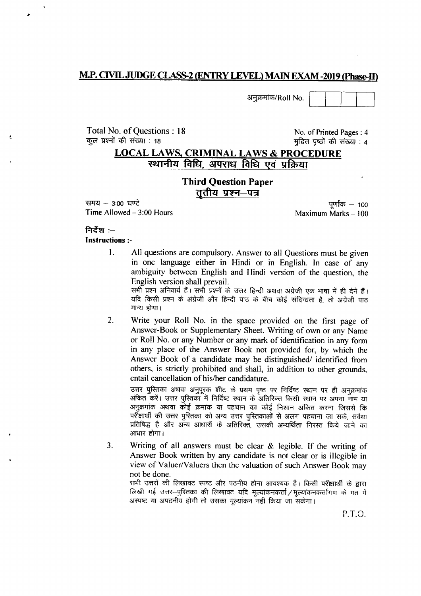#### **M.P. CIVIL JUDGE CLASS-2 (ENTRY LEVEL) MAIN EXAM -2019 (Phase-II)**

अनुक्रमांक/Roll No.

Total No. of Ouestions: 18 कूल प्रश्नों की संख्या 18

No. of Printed Pages: 4 मुद्रित पृष्ठों की संख्या : 4

## **LOCAL LAWS, CRIMINAL LAWS & PROCEDURE** स्थानीय विधि, अपराध विधि एवं प्रक्रिया

#### **Third Question Paper** ततीय प्रश्न—पत्र

समय  $-$  3:00 घण्टे Time Allowed  $-3:00$  Hours

पर्णांक  $-$  100 Maximum Marks - 100

## निर्देश $:=$

**Instructions:-**

 $\mathbf{1}$ . All questions are compulsory. Answer to all Questions must be given in one language either in Hindi or in English. In case of any ambiguity between English and Hindi version of the question, the English version shall prevail.

सभी प्रश्न अनिवार्य हैं। सभी प्रश्नों के उत्तर हिन्दी अथवा अंग्रेजी एक भाषा में ही देने हैं। यदि किसी प्रश्न के अंग्रेजी और हिन्दी पाठ के बीच कोई संदिग्धता है, तो अंग्रेजी पाठ मान्य होगा।

 $2.$ Write your Roll No. in the space provided on the first page of Answer-Book or Supplementary Sheet. Writing of own or any Name or Roll No. or any Number or any mark of identification in any form in any place of the Answer Book not provided for, by which the Answer Book of a candidate may be distinguished/ identified from others, is strictly prohibited and shall, in addition to other grounds, entail cancellation of his/her candidature.

उत्तर पुस्तिका अथवा अनुपुरक शीट के प्रथम पुष्ट पर निर्दिष्ट स्थान पर ही अनुक्रमांक अंकित करें। उत्तर पुरितका में निर्दिष्ट स्थान के अतिरिक्त किसी स्थान पर अपना नाम या अनुक्रमांक अथवा कोई क्रमांक या पहचान का कोई निशान अंकित करना जिससे कि परीक्षार्थी की उत्तर पुस्तिका को अन्य उत्तर पुस्तिकाओं से अलग पहचाना जा सके, सर्वथा प्रतिषिद्ध है और अन्य आधारों के अतिरिक्त, उसकी अभ्यर्थिता निरस्त किये जाने का आधार होगा।

 $3.$ Writing of all answers must be clear  $\&$  legible. If the writing of Answer Book written by any candidate is not clear or is illegible in view of Valuer/Valuers then the valuation of such Answer Book may not be done.

सभी उत्तरों की लिखावट स्पष्ट और पठनीय होना आवश्यक है। किसी परीक्षार्थी के द्वारा लिखी गई उत्तर-पुस्तिका की लिखावट यदि मूल्यांकनकर्त्ता / मूल्यांकनकर्त्तागण के मत में अस्पष्ट या अपठनीय होगी तो उसका मत्यांकन नहीं किया जा सकेगा।

P.T.O.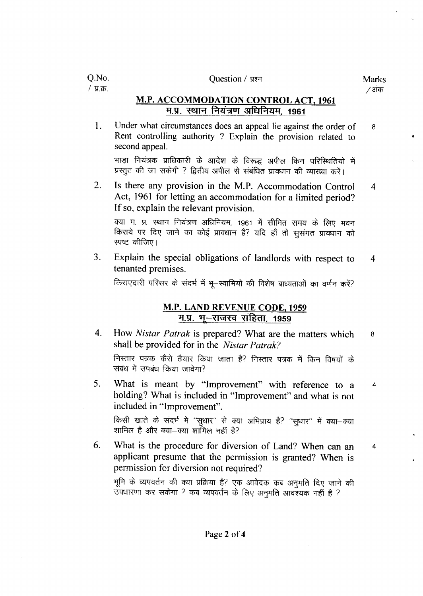#### Question / प्रश्न

 $\overline{4}$ 

## M.P. ACCOMMODATION CONTROL ACT. 1961 म.प्र. स्थान नियंत्रण अधिनियम, 1961

1. Under what circumstances does an appeal lie against the order of 8 Rent controlling authority ? Explain the provision related to second appeal.

भाड़ा नियंत्रक प्राधिकारी के आदेश के विरूद्ध अपील किन परिस्थितियों में प्रस्तुत की जा सकेगी ? द्वितीय अपील से संबंधित प्रावधान की व्याख्या करें।

2. Is there any provision in the M.P. Accommodation Control  $\overline{4}$ Act, 1961 for letting an accommodation for a limited period? If so, explain the relevant provision.

क्या म. प्र. स्थान नियंत्रण अधिनियम, 1961 में सीमित समय के लिए भवन किराये पर दिए जाने का कोई प्रावधान है? यदि हाँ तो सुसंगत प्रावधान को स्पष्ट कीजिए।

3. Explain the special obligations of landlords with respect to 4 tenanted premises.

किराएदारी परिसर के संदर्भ में भू-स्वामियों की विशेष बाध्यताओं का वर्णन करें?

#### M.P. LAND REVENUE CODE, 1959 म.प्र. भू-राजस्व संहिता, 1959

- 4. How *Nistar Patrak* is prepared? What are the matters which 8 shall be provided for in the *Nistar Patrak*? निस्तार पत्रक कैसे तैयार किया जाता है? निस्तार पत्रक में किन विषयों के संबंध में उपबंध किया जावेगा?
- 5. What is meant by "Improvement" with refererice to a holding? What is included in "Improvement" and what is not included in "Improvement". किसी खाते के संदर्भ में "सुधार" से क्या अभिप्राय है? "सुधार" में क्या−क्या शामिल है और क्या-क्या शामिल नहीं है?
- 6. What is the procedure for diversion of Land? When can an 4 applicant presume that the permission is granted? When is permission for diversion not required?

भूमि के व्यपवर्तन की क्या प्रक्रिया है? एक आवेदक कब अनुमति दिए जाने की उपधारणा कर सकेगा ? कब व्यपवर्तन के लिए अनुमति आवश्यक नहीं है ?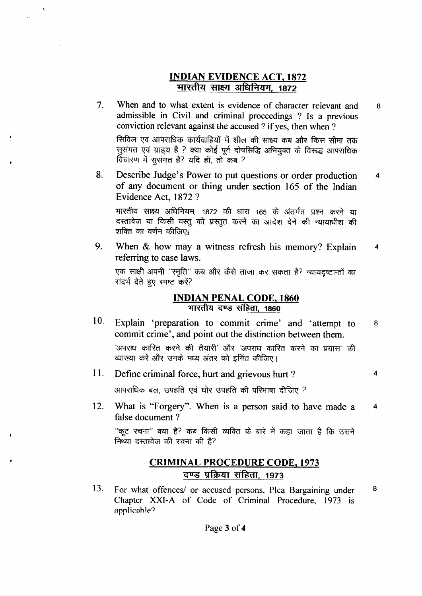## **INDIAN EVIDENCE ACT, 1872** भारतीय साक्ष्य अधिनियम, 1872

- When and to what extent is evidence of character relevant and  $7.$ 8 admissible in Civil and criminal proceedings ? Is a previous conviction relevant against the accused ? if yes, then when ? सिविल एवं आपराधिक कार्यवाहियों में शील की साक्ष्य कब और किस सीमा तक सुसंगत एवं ग्राह्य है ? क्या कोई पूर्व दोषसिद्धि अभियुक्त के विरूद्ध आपराधिक विचारण में सूसगत है? यदि हाँ, तो कब ?
- Describe Judge's Power to put questions or order production 8.  $\overline{\mathbf{4}}$ of any document or thing under section 165 of the Indian Evidence Act, 1872 ?

भारतीय साक्ष्य अधिनियम, 1872 की धारा 165 के अंतर्गत प्रश्न करने या दस्तावेज या किसी वस्तू को प्रस्तुत करने का आदेश देने की न्यायाधीश की शक्ति का वर्णन कीजिए।

9. When & how may a witness refresh his memory? Explain  $\overline{\mathbf{4}}$ referring to case laws.

एक साक्षी अपनी 'स्मृति'' कब और कैसे ताजा कर सकता है? न्यायदृष्टान्तों का संदर्भ देते हुए स्पष्ट करें?

#### **INDIAN PENAL CODE, 1860** भारतीय दण्ड संहिता, 1860

10. Explain 'preparation to commit crime' and 'attempt to 8 commit crime', and point out the distinction between them.

'अपराध कारित करने की तैयारी' और 'अपराध कारित करने का प्रयास' की व्याख्या करें और उनके मध्य अंतर को इगित कीजिए।

 $\overline{\mathbf{4}}$ 

11. Define criminal force, hurt and grievous hurt?

आपराधिक बल, उपहति एवं घोर उपहति की परिभाषा दीजिए ?

12. What is "Forgery". When is a person said to have made a  $\overline{\mathbf{4}}$ false document?

''कूट रचना'' क्या है? कब किसी व्यक्ति के बारे में कहा जाता है कि उसने मिथ्या दस्तावेज की रचना की है?

# **CRIMINAL PROCEDURE CODE, 1973** दण्ड प्रक्रिया संहिता, 1973

13. For what offences/ or accused persons, Plea Bargaining under 8 Chapter XXI-A of Code of Criminal Procedure, 1973 is applicable?